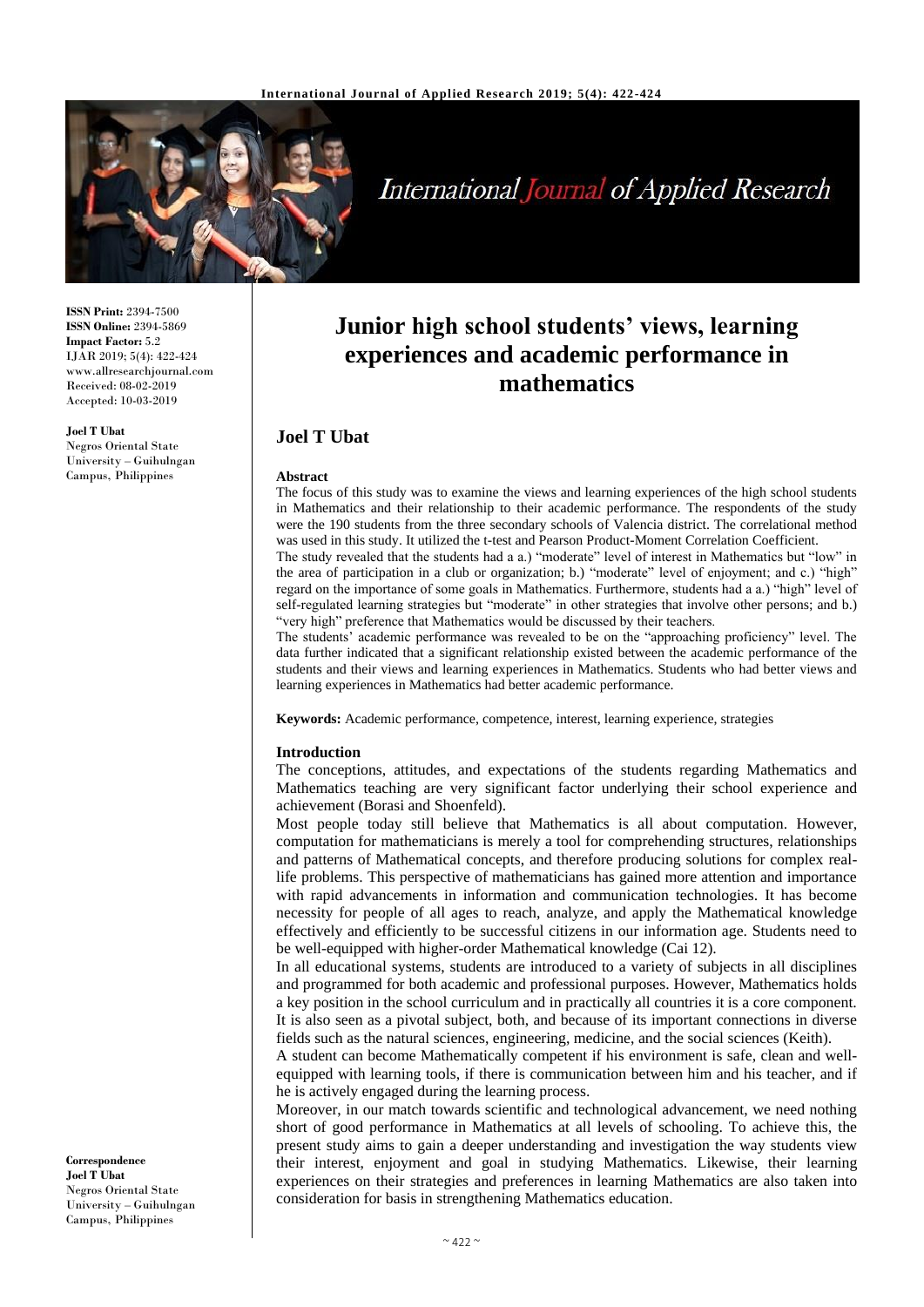

# **International Journal of Applied Research**

**ISSN Print:** 2394-7500 **ISSN Online:** 2394-5869 **Impact Factor:** 5.2 IJAR 2019; 5(4): 422-424 www.allresearchjournal.com Received: 08-02-2019 Accepted: 10-03-2019

**Joel T Ubat**

Negros Oriental State University – Guihulngan Campus, Philippines

# **Junior high school students' views, learning experiences and academic performance in mathematics**

# **Joel T Ubat**

#### **Abstract**

The focus of this study was to examine the views and learning experiences of the high school students in Mathematics and their relationship to their academic performance. The respondents of the study were the 190 students from the three secondary schools of Valencia district. The correlational method was used in this study. It utilized the t-test and Pearson Product-Moment Correlation Coefficient. The study revealed that the students had a a.) "moderate" level of interest in Mathematics but "low" in

the area of participation in a club or organization; b.) "moderate" level of enjoyment; and c.) "high" regard on the importance of some goals in Mathematics. Furthermore, students had a a.) "high" level of self-regulated learning strategies but "moderate" in other strategies that involve other persons; and b.) "very high" preference that Mathematics would be discussed by their teachers.

The students' academic performance was revealed to be on the "approaching proficiency" level. The data further indicated that a significant relationship existed between the academic performance of the students and their views and learning experiences in Mathematics. Students who had better views and learning experiences in Mathematics had better academic performance.

**Keywords:** Academic performance, competence, interest, learning experience, strategies

#### **Introduction**

The conceptions, attitudes, and expectations of the students regarding Mathematics and Mathematics teaching are very significant factor underlying their school experience and achievement (Borasi and Shoenfeld).

Most people today still believe that Mathematics is all about computation. However, computation for mathematicians is merely a tool for comprehending structures, relationships and patterns of Mathematical concepts, and therefore producing solutions for complex reallife problems. This perspective of mathematicians has gained more attention and importance with rapid advancements in information and communication technologies. It has become necessity for people of all ages to reach, analyze, and apply the Mathematical knowledge effectively and efficiently to be successful citizens in our information age. Students need to be well-equipped with higher-order Mathematical knowledge (Cai 12).

In all educational systems, students are introduced to a variety of subjects in all disciplines and programmed for both academic and professional purposes. However, Mathematics holds a key position in the school curriculum and in practically all countries it is a core component. It is also seen as a pivotal subject, both, and because of its important connections in diverse fields such as the natural sciences, engineering, medicine, and the social sciences (Keith).

A student can become Mathematically competent if his environment is safe, clean and wellequipped with learning tools, if there is communication between him and his teacher, and if he is actively engaged during the learning process.

Moreover, in our match towards scientific and technological advancement, we need nothing short of good performance in Mathematics at all levels of schooling. To achieve this, the present study aims to gain a deeper understanding and investigation the way students view their interest, enjoyment and goal in studying Mathematics. Likewise, their learning experiences on their strategies and preferences in learning Mathematics are also taken into consideration for basis in strengthening Mathematics education.

**Correspondence Joel T Ubat** Negros Oriental State University – Guihulngan Campus, Philippines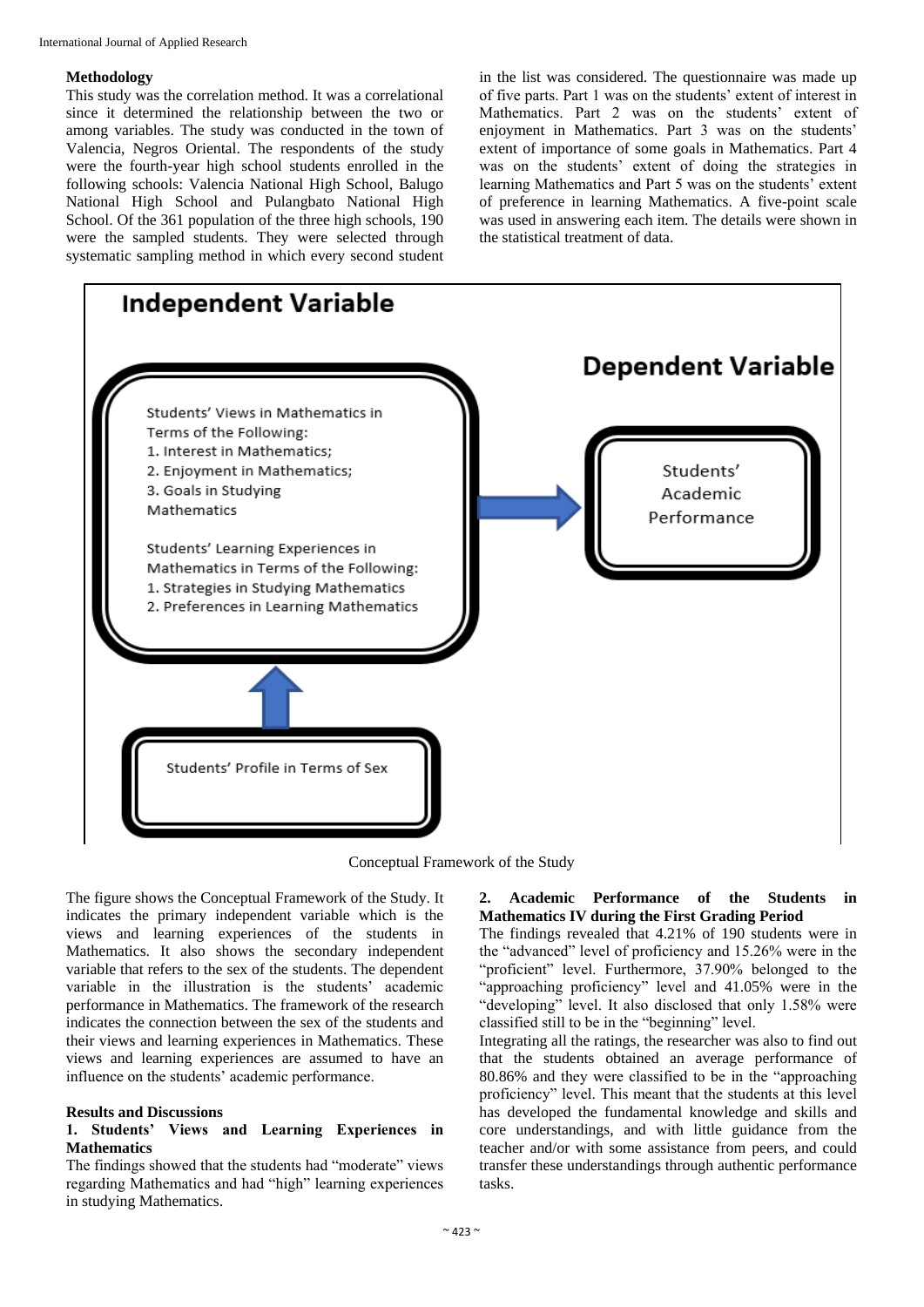#### **Methodology**

This study was the correlation method. It was a correlational since it determined the relationship between the two or among variables. The study was conducted in the town of Valencia, Negros Oriental. The respondents of the study were the fourth-year high school students enrolled in the following schools: Valencia National High School, Balugo National High School and Pulangbato National High School. Of the 361 population of the three high schools, 190 were the sampled students. They were selected through systematic sampling method in which every second student in the list was considered. The questionnaire was made up of five parts. Part 1 was on the students' extent of interest in Mathematics. Part 2 was on the students' extent of enjoyment in Mathematics. Part 3 was on the students' extent of importance of some goals in Mathematics. Part 4 was on the students' extent of doing the strategies in learning Mathematics and Part 5 was on the students' extent of preference in learning Mathematics. A five-point scale was used in answering each item. The details were shown in the statistical treatment of data.



Conceptual Framework of the Study

The figure shows the Conceptual Framework of the Study. It indicates the primary independent variable which is the views and learning experiences of the students in Mathematics. It also shows the secondary independent variable that refers to the sex of the students. The dependent variable in the illustration is the students' academic performance in Mathematics. The framework of the research indicates the connection between the sex of the students and their views and learning experiences in Mathematics. These views and learning experiences are assumed to have an influence on the students' academic performance.

#### **Results and Discussions**

# **1. Students' Views and Learning Experiences in Mathematics**

The findings showed that the students had "moderate" views regarding Mathematics and had "high" learning experiences in studying Mathematics.

# **2. Academic Performance of the Students in Mathematics IV during the First Grading Period**

The findings revealed that 4.21% of 190 students were in the "advanced" level of proficiency and 15.26% were in the "proficient" level. Furthermore, 37.90% belonged to the "approaching proficiency" level and 41.05% were in the "developing" level. It also disclosed that only 1.58% were classified still to be in the "beginning" level.

Integrating all the ratings, the researcher was also to find out that the students obtained an average performance of 80.86% and they were classified to be in the "approaching proficiency" level. This meant that the students at this level has developed the fundamental knowledge and skills and core understandings, and with little guidance from the teacher and/or with some assistance from peers, and could transfer these understandings through authentic performance tasks.